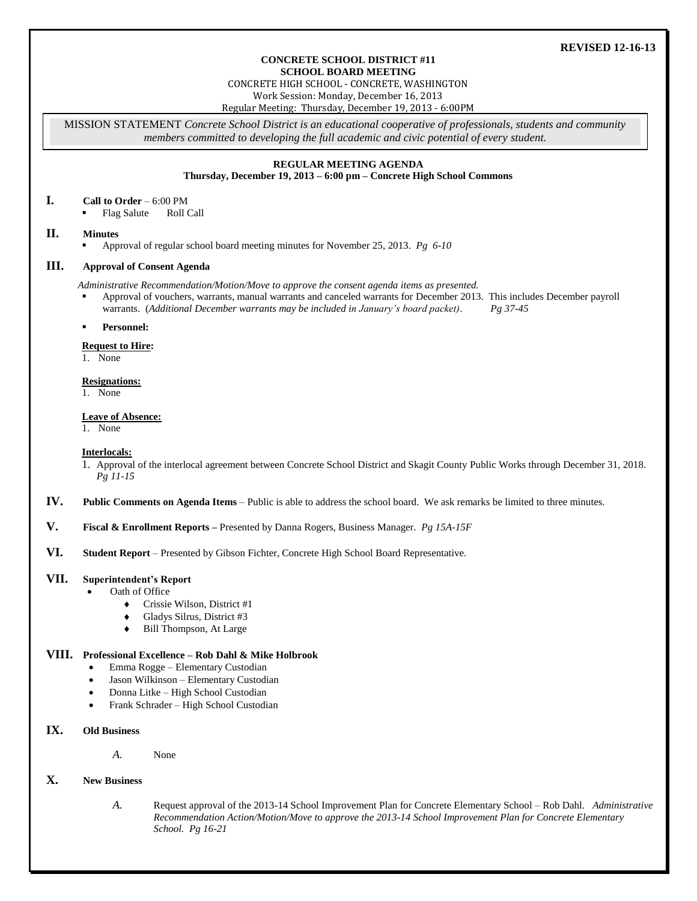## **REVISED 12-16-13**

#### **CONCRETE SCHOOL DISTRICT #11 SCHOOL BOARD MEETING**

CONCRETE HIGH SCHOOL - CONCRETE, WASHINGTON

Work Session: Monday, December 16, 2013

Regular Meeting: Thursday, December 19, 2013 - 6:00PM

MISSION STATEMENT *Concrete School District is an educational cooperative of professionals, students and community members committed to developing the full academic and civic potential of every student.*

# **REGULAR MEETING AGENDA**

**Thursday, December 19, 2013 – 6:00 pm – Concrete High School Commons**

## **I. Call to Order** – 6:00 PM

Flag Salute Roll Call

## **II. Minutes**

Approval of regular school board meeting minutes for November 25, 2013. *Pg 6-10*

### **III. Approval of Consent Agenda**

*Administrative Recommendation/Motion/Move to approve the consent agenda items as presented.*

 Approval of vouchers, warrants, manual warrants and canceled warrants for December 2013. This includes December payroll warrants. (*Additional December warrants may be included in January's board packet)*. *Pg 37-45*

#### **Personnel:**

## **Request to Hire:**

1. None

#### **Resignations:**

1. None

#### **Leave of Absence:**

1. None

#### **Interlocals:**

1. Approval of the interlocal agreement between Concrete School District and Skagit County Public Works through December 31, 2018. *Pg 11-15*

- **IV. Public Comments on Agenda Items** Public is able to address the school board. We ask remarks be limited to three minutes.
- **V. Fiscal & Enrollment Reports –** Presented by Danna Rogers, Business Manager. *Pg 15A-15F*

## **VI. Student Report** – Presented by Gibson Fichter, Concrete High School Board Representative.

## **VII. Superintendent's Report**

- Oath of Office
	- Crissie Wilson, District #1
	- Gladys Silrus, District #3
	- Bill Thompson, At Large

#### **VIII. Professional Excellence – Rob Dahl & Mike Holbrook**

- Emma Rogge Elementary Custodian
- Jason Wilkinson Elementary Custodian
- Donna Litke High School Custodian
- Frank Schrader High School Custodian

## **IX. Old Business**

*A.* None

## **X. New Business**

*A.* Request approval of the 2013-14 School Improvement Plan for Concrete Elementary School – Rob Dahl. *Administrative Recommendation Action/Motion/Move to approve the 2013-14 School Improvement Plan for Concrete Elementary School. Pg 16-21*